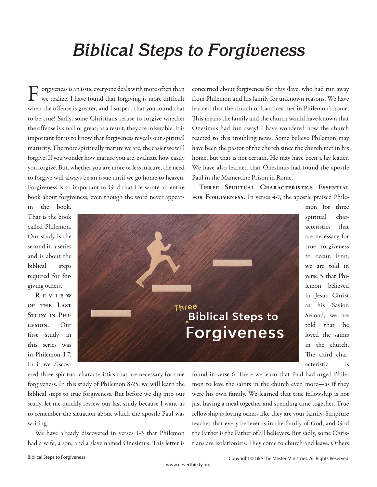# *Biblical Steps to Forgiveness*

Forgiveness is an issue everyone deals with more often than we realize. I have found that forgiving is more difficult when the offense is greater, and I suspect that you found that to be true! Sadly, some Christians refuse to forgive whether the offense is small or great; as a result, they are miserable. It is important for us to know that forgiveness reveals our spiritual maturity. The more spiritually mature we are, the easier we will forgive. If you wonder how mature you are, evaluate how easily you forgive. But, whether you are more or less mature, the need to forgive will always be an issue until we go home to heaven. Forgiveness is so important to God that He wrote an entire book about forgiveness, even though the word never appears

concerned about forgiveness for this slave, who had run away from Philemon and his family for unknown reasons. We have learned that the church of Laodicea met in Philemon's home. This means the family and the church would have known that Onesimus had run away! I have wondered how the church reacted to this troubling news. Some believe Philemon may have been the pastor of the church since the church met in his home, but that is not certain. He may have been a lay leader. We have also learned that Onesimus had found the apostle Paul in the Mamertine Prison in Rome.

**Three Spiritual Characteristics Essential for Forgiveness.** In verses 4-7, the apostle praised Phile-

in the book. That is the book called Philemon. Our study is the second in a series and is about the biblical steps required for forgiving others.

**R e v i e w of the Last**  STUDY IN PHI**lemon.** Our first study in this series was in Philemon 1-7. In it we discov-



mon for three spiritual characteristics that are necessary for true forgiveness to occur. First, we are told in verse 5 that Philemon believed in Jesus Christ as his Savior. Second, we are told that he loved the saints in the church. The third characteristic is

ered three spiritual characteristics that are necessary for true forgiveness. In this study of Philemon 8-25, we will learn the biblical steps to true forgiveness. But before we dig into our study, let me quickly review our last study because I want us to remember the situation about which the apostle Paul was writing.

We have already discovered in verses 1-3 that Philemon had a wife, a son, and a slave named Onesimus. This letter is found in verse 6. There we learn that Paul had urged Philemon to love the saints in the church even more—as if they were his own family. We learned that true fellowship is not just having a meal together and spending time together. True fellowship is loving others like they are your family. Scripture teaches that every believer is in the family of God, and God the Father is the Father of all believers. But sadly, some Christians are isolationists. They come to church and leave. Others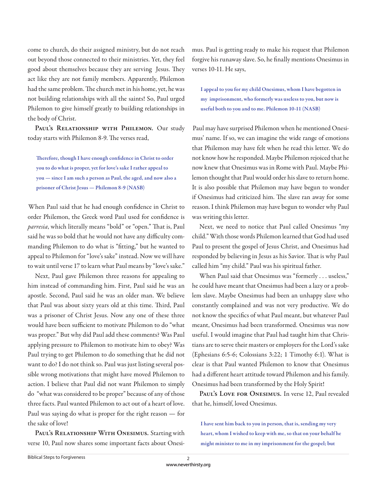come to church, do their assigned ministry, but do not reach out beyond those connected to their ministries. Yet, they feel good about themselves because they are serving Jesus. They act like they are not family members. Apparently, Philemon had the same problem. The church met in his home, yet, he was not building relationships with all the saints! So, Paul urged Philemon to give himself greatly to building relationships in the body of Christ.

PAUL'S RELATIONSHIP WITH PHILEMON. Our study today starts with Philemon 8-9. The verses read,

Therefore, though I have enough confidence in Christ to order **you to do what is proper, yet for love's sake I rather appeal to you — since I am such a person as Paul, the aged, and now also a prisoner of Christ Jesus — Philemon 8-9 (NASB)**

When Paul said that he had enough confidence in Christ to order Philemon, the Greek word Paul used for confidence is parresia, which literally means "bold" or "open." That is, Paul said he was so bold that he would not have any difficulty commanding Philemon to do what is "fitting," but he wanted to appeal to Philemon for "love's sake" instead. Now we will have to wait until verse 17 to learn what Paul means by "love's sake."

Next, Paul gave Philemon three reasons for appealing to him instead of commanding him. First, Paul said he was an apostle. Second, Paul said he was an older man. We believe that Paul was about sixty years old at this time. Third, Paul was a prisoner of Christ Jesus. Now any one of these three would have been sufficient to motivate Philemon to do "what was proper." But why did Paul add these comments? Was Paul applying pressure to Philemon to motivate him to obey? Was Paul trying to get Philemon to do something that he did not want to do? I do not think so. Paul was just listing several possible wrong motivations that might have moved Philemon to action. I believe that Paul did not want Philemon to simply do "what was considered to be proper" because of any of those three facts. Paul wanted Philemon to act out of a heart of love. Paul was saying do what is proper for the right reason — for the sake of love!

PAUL'S RELATIONSHIP WITH ONESIMUS. Starting with verse 10, Paul now shares some important facts about Onesimus. Paul is getting ready to make his request that Philemon forgive his runaway slave. So, he finally mentions Onesimus in verses 10-11. He says,

**I appeal to you for my child Onesimus, whom I have begotten in my imprisonment, who formerly was useless to you, but now is useful both to you and to me. Philemon 10-11 (NASB)**

Paul may have surprised Philemon when he mentioned Onesimus' name. If so, we can imagine the wide range of emotions that Philemon may have felt when he read this letter. We do not know how he responded. Maybe Philemon rejoiced that he now knew that Onesimus was in Rome with Paul. Maybe Philemon thought that Paul would order his slave to return home. It is also possible that Philemon may have begun to wonder if Onesimus had criticized him. The slave ran away for some reason. I think Philemon may have begun to wonder why Paul was writing this letter.

Next, we need to notice that Paul called Onesimus "my child." With those words Philemon learned that God had used Paul to present the gospel of Jesus Christ, and Onesimus had responded by believing in Jesus as his Savior. That is why Paul called him "my child." Paul was his spiritual father.

When Paul said that Onesimus was "formerly . . . useless," he could have meant that Onesimus had been a lazy or a problem slave. Maybe Onesimus had been an unhappy slave who constantly complained and was not very productive. We do not know the specifics of what Paul meant, but whatever Paul meant, Onesimus had been transformed. Onesimus was now useful. I would imagine that Paul had taught him that Christians are to serve their masters or employers for the Lord's sake (Ephesians 6:5-6; Colossians 3:22; 1 Timothy 6:1). What is clear is that Paul wanted Philemon to know that Onesimus had a different heart attitude toward Philemon and his family. Onesimus had been transformed by the Holy Spirit!

PAUL'S LOVE FOR ONESIMUS. In verse 12, Paul revealed that he, himself, loved Onesimus.

**I have sent him back to you in person, that is, sending my very heart, whom I wished to keep with me, so that on your behalf he might minister to me in my imprisonment for the gospel; but**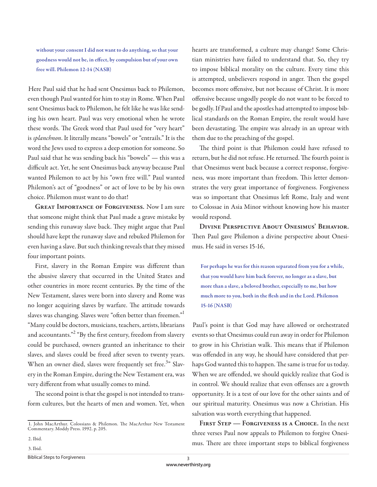**without your consent I did not want to do anything, so that your**  goodness would not be, in effect, by compulsion but of your own **free will. Philemon 12-14 (NASB)**

Here Paul said that he had sent Onesimus back to Philemon, even though Paul wanted for him to stay in Rome. When Paul sent Onesimus back to Philemon, he felt like he was like sending his own heart. Paul was very emotional when he wrote these words. The Greek word that Paul used for "very heart" is *splanchnon*. It literally means "bowels" or "entrails." It is the word the Jews used to express a deep emotion for someone. So Paul said that he was sending back his "bowels" — this was a difficult act. Yet, he sent Onesimus back anyway because Paul wanted Philemon to act by his "own free will." Paul wanted Philemon's act of "goodness" or act of love to be by his own choice. Philemon must want to do that!

**Great Importance of Forgiveness.** Now I am sure that someone might think that Paul made a grave mistake by sending this runaway slave back. They might argue that Paul should have kept the runaway slave and rebuked Philemon for even having a slave. But such thinking reveals that they missed four important points.

First, slavery in the Roman Empire was different than the abusive slavery that occurred in the United States and other countries in more recent centuries. By the time of the New Testament, slaves were born into slavery and Rome was no longer acquiring slaves by warfare. The attitude towards slaves was changing. Slaves were "often better than freemen."<sup>1</sup> "Many could be doctors, musicians, teachers, artists, librarians and accountants."<sup>2</sup> "By the first century, freedom from slavery could be purchased, owners granted an inheritance to their slaves, and slaves could be freed after seven to twenty years. When an owner died, slaves were frequently set free.<sup>3</sup>" Slavery in the Roman Empire, during the New Testament era, was very different from what usually comes to mind.

The second point is that the gospel is not intended to transform cultures, but the hearts of men and women. Yet, when

3. Ibid.

Biblical Steps to Forgiveness

hearts are transformed, a culture may change! Some Christian ministries have failed to understand that. So, they try to impose biblical morality on the culture. Every time this is attempted, unbelievers respond in anger. Then the gospel becomes more offensive, but not because of Christ. It is more offensive because ungodly people do not want to be forced to be godly. If Paul and the apostles had attempted to impose biblical standards on the Roman Empire, the result would have been devastating. The empire was already in an uproar with them due to the preaching of the gospel.

The third point is that Philemon could have refused to return, but he did not refuse. He returned. The fourth point is that Onesimus went back because a correct response, forgiveness, was more important than freedom. This letter demonstrates the very great importance of forgiveness. Forgiveness was so important that Onesimus left Rome, Italy and went to Colossae in Asia Minor without knowing how his master would respond.

**Divine Perspective About Onesimus' Behavior.**  Then Paul gave Philemon a divine perspective about Onesimus. He said in verses 15-16,

**For perhaps he was for this reason separated from you for a while, that you would have him back forever, no longer as a slave, but more than a slave, a beloved brother, especially to me, but how**  much more to you, both in the flesh and in the Lord. Philemon **15-16 (NASB)**

Paul's point is that God may have allowed or orchestrated events so that Onesimus could run away in order for Philemon to grow in his Christian walk. This means that if Philemon was offended in any way, he should have considered that perhaps God wanted this to happen. The same is true for us today. When we are offended, we should quickly realize that God is in control. We should realize that even offenses are a growth opportunity. It is a test of our love for the other saints and of our spiritual maturity. Onesimus was now a Christian. His salvation was worth everything that happened.

**First Step — Forgiveness is a Choice.** In the next three verses Paul now appeals to Philemon to forgive Onesimus. There are three important steps to biblical forgiveness

<sup>1.</sup> John MacArthur. Colossians & Philemon. The MacArthur New Testament Commentary. Moddy Press. 1992. p. 205.

<sup>2.</sup> Ibid.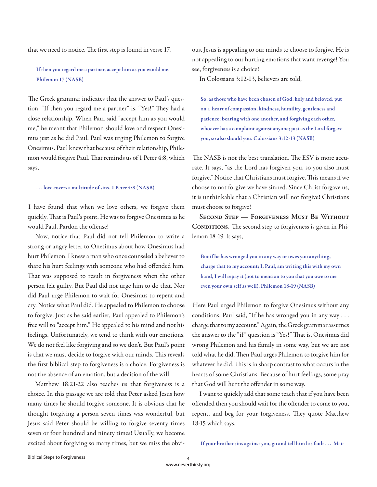that we need to notice. The first step is found in verse 17.

# **If then you regard me a partner, accept him as you would me. Philemon 17 (NASB)**

The Greek grammar indicates that the answer to Paul's question, "If then you regard me a partner" is, "Yes!" They had a close relationship. When Paul said "accept him as you would me," he meant that Philemon should love and respect Onesimus just as he did Paul. Paul was urging Philemon to forgive Onesimus. Paul knew that because of their relationship, Philemon would forgive Paul. That reminds us of 1 Peter 4:8, which says,

#### **. . . love covers a multitude of sins. 1 Peter 4:8 (NASB)**

I have found that when we love others, we forgive them quickly. That is Paul's point. He was to forgive Onesimus as he would Paul. Pardon the offense!

Now, notice that Paul did not tell Philemon to write a strong or angry letter to Onesimus about how Onesimus had hurt Philemon. I knew a man who once counseled a believer to share his hurt feelings with someone who had offended him. That was supposed to result in forgiveness when the other person felt guilty. But Paul did not urge him to do that. Nor did Paul urge Philemon to wait for Onesimus to repent and cry. Notice what Paul did. He appealed to Philemon to choose to forgive. Just as he said earlier, Paul appealed to Philemon's free will to "accept him." He appealed to his mind and not his feelings. Unfortunately, we tend to think with our emotions. We do not feel like forgiving and so we don't. But Paul's point is that we must decide to forgive with our minds. This reveals the first biblical step to forgiveness is a choice. Forgiveness is not the absence of an emotion, but a decision of the will.

Matthew 18:21-22 also teaches us that forgiveness is a choice. In this passage we are told that Peter asked Jesus how many times he should forgive someone. It is obvious that he thought forgiving a person seven times was wonderful, but Jesus said Peter should be willing to forgive seventy times seven or four hundred and ninety times! Usually, we become excited about forgiving so many times, but we miss the obvious. Jesus is appealing to our minds to choose to forgive. He is not appealing to our hurting emotions that want revenge! You see, forgiveness is a choice!

In Colossians 3:12-13, believers are told,

**So, as those who have been chosen of God, holy and beloved, put on a heart of compassion, kindness, humility, gentleness and patience; bearing with one another, and forgiving each other, whoever has a complaint against anyone; just as the Lord forgave you, so also should you. Colossians 3:12-13 (NASB)**

The NASB is not the best translation. The ESV is more accurate. It says, "as the Lord has forgiven you, so you also must forgive." Notice that Christians must forgive. This means if we choose to not forgive we have sinned. Since Christ forgave us, it is unthinkable that a Christian will not forgive! Christians must choose to forgive!

**Second Step — Forgiveness Must Be Without**  CONDITIONS. The second step to forgiveness is given in Philemon 18-19. It says,

**But if he has wronged you in any way or owes you anything, charge that to my account; I, Paul, am writing this with my own hand, I will repay it (not to mention to you that you owe to me even your own self as well). Philemon 18-19 (NASB)**

Here Paul urged Philemon to forgive Onesimus without any conditions. Paul said, "If he has wronged you in any way . . . charge that to my account." Again, the Greek grammar assumes the answer to the "if" question is "Yes!" That is, Onesimus did wrong Philemon and his family in some way, but we are not told what he did. Then Paul urges Philemon to forgive him for whatever he did. This is in sharp contrast to what occurs in the hearts of some Christians. Because of hurt feelings, some pray that God will hurt the offender in some way.

I want to quickly add that some teach that if you have been offended then you should wait for the offender to come to you, repent, and beg for your forgiveness. They quote Matthew 18:15 which says,

**If your brother sins against you, go and tell him his fault . . . Mat-**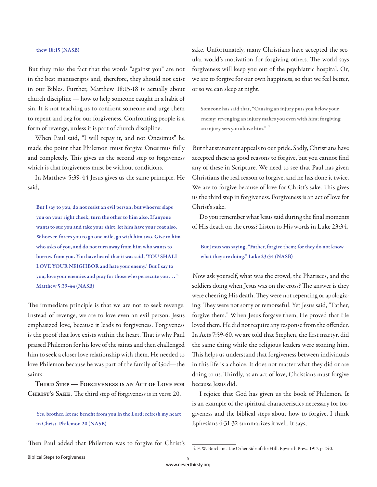## **thew 18:15 (NASB)**

But they miss the fact that the words "against you" are not in the best manuscripts and, therefore, they should not exist in our Bibles. Further, Matthew 18:15-18 is actually about church discipline — how to help someone caught in a habit of sin. It is not teaching us to confront someone and urge them to repent and beg for our forgiveness. Confronting people is a form of revenge, unless it is part of church discipline.

When Paul said, "I will repay it, and not Onesimus" he made the point that Philemon must forgive Onesimus fully and completely. This gives us the second step to forgiveness which is that forgiveness must be without conditions.

In Matthew 5:39-44 Jesus gives us the same principle. He said,

**But I say to you, do not resist an evil person; but whoever slaps you on your right cheek, turn the other to him also. If anyone wants to sue you and take your shirt, let him have your coat also. Whoever forces you to go one mile, go with him two. Give to him who asks of you, and do not turn away from him who wants to borrow from you. You have heard that it was said, 'YOU SHALL LOVE YOUR NEIGHBOR and hate your enemy.' But I say to you, love your enemies and pray for those who persecute you . . . " Matthew 5:39-44 (NASB)**

The immediate principle is that we are not to seek revenge. Instead of revenge, we are to love even an evil person. Jesus emphasized love, because it leads to forgiveness. Forgiveness is the proof that love exists within the heart. That is why Paul praised Philemon for his love of the saints and then challenged him to seek a closer love relationship with them. He needed to love Philemon because he was part of the family of God—the saints.

**Third Step — Forgiveness is an Act of Love for CHRIST'S SAKE.** The third step of forgiveness is in verse 20.

Yes, brother, let me benefit from you in the Lord; refresh my heart **in Christ. Philemon 20 (NASB)**

Then Paul added that Philemon was to forgive for Christ's

sake. Unfortunately, many Christians have accepted the secular world's motivation for forgiving others. The world says forgiveness will keep you out of the psychiatric hospital. Or, we are to forgive for our own happiness, so that we feel better, or so we can sleep at night.

**Someone has said that, "Causing an injury puts you below your enemy; revenging an injury makes you even with him; forgiving an injury sets you above him."** <sup>4</sup>

But that statement appeals to our pride. Sadly, Christians have accepted these as good reasons to forgive, but you cannot find any of these in Scripture. We need to see that Paul has given Christians the real reason to forgive, and he has done it twice. We are to forgive because of love for Christ's sake. This gives us the third step in forgiveness. Forgiveness is an act of love for Christ's sake.

Do you remember what Jesus said during the final moments of His death on the cross? Listen to His words in Luke 23:34,

**But Jesus was saying, "Father, forgive them; for they do not know what they are doing." Luke 23:34 (NASB)**

Now ask yourself, what was the crowd, the Pharisees, and the soldiers doing when Jesus was on the cross? The answer is they were cheering His death. They were not repenting or apologizing. They were not sorry or remorseful. Yet Jesus said, "Father, forgive them." When Jesus forgave them, He proved that He loved them. He did not require any response from the offender. In Acts 7:59-60, we are told that Stephen, the first martyr, did the same thing while the religious leaders were stoning him. This helps us understand that forgiveness between individuals in this life is a choice. It does not matter what they did or are doing to us. Thirdly, as an act of love, Christians must forgive because Jesus did.

I rejoice that God has given us the book of Philemon. It is an example of the spiritual characteristics necessary for forgiveness and the biblical steps about how to forgive. I think Ephesians 4:31-32 summarizes it well. It says,

<sup>4.</sup> F. W. Borcham. The Other Side of the Hill. Epworth Press. 1917. p. 240.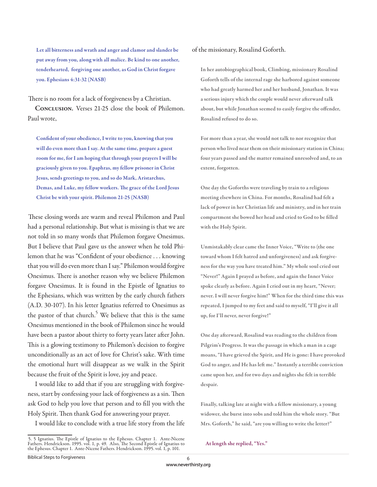**Let all bitterness and wrath and anger and clamor and slander be put away from you, along with all malice. Be kind to one another, tenderhearted, forgiving one another, as God in Christ forgave you. Ephesians 4:31-32 (NASB)**

There is no room for a lack of forgiveness by a Christian.

**Conclusion.** Verses 21-25 close the book of Philemon. Paul wrote,

Confident of your obedience, I write to you, knowing that you **will do even more than I say. At the same time, prepare a guest room for me, for I am hoping that through your prayers I will be graciously given to you. Epaphras, my fellow prisoner in Christ Jesus, sends greetings to you, and so do Mark, Aristarchus,**  Demas, and Luke, my fellow workers. The grace of the Lord Jesus **Christ be with your spirit. Philemon 21-25 (NASB)**

These closing words are warm and reveal Philemon and Paul had a personal relationship. But what is missing is that we are not told in so many words that Philemon forgave Onesimus. But I believe that Paul gave us the answer when he told Philemon that he was "Confident of your obedience . . . knowing that you will do even more than I say." Philemon would forgive Onesimus. There is another reason why we believe Philemon forgave Onesimus. It is found in the Epistle of Ignatius to the Ephesians, which was written by the early church fathers (A.D. 30-107). In his letter Ignatius referred to Onesimus as the pastor of that church.<sup>5</sup> We believe that this is the same Onesimus mentioned in the book of Philemon since he would have been a pastor about thirty to forty years later after John. This is a glowing testimony to Philemon's decision to forgive unconditionally as an act of love for Christ's sake. With time the emotional hurt will disappear as we walk in the Spirit because the fruit of the Spirit is love, joy and peace.

I would like to add that if you are struggling with forgiveness, start by confessing your lack of forgiveness as a sin. Then ask God to help you love that person and to fill you with the Holy Spirit. Then thank God for answering your prayer.

I would like to conclude with a true life story from the life

of the missionary, Rosalind Goforth.

**In her autobiographical book, Climbing, missionary Rosalind Goforth tells of the internal rage she harbored against someone who had greatly harmed her and her husband, Jonathan. It was**  a serious injury which the couple would never afterward talk about, but while Jonathan seemed to easily forgive the offender, **Rosalind refused to do so.** 

**For more than a year, she would not talk to nor recognize that person who lived near them on their missionary station in China; four years passed and the matter remained unresolved and, to an extent, forgotten.** 

**One day the Goforths were traveling by train to a religious meeting elsewhere in China. For months, Rosalind had felt a lack of power in her Christian life and ministry, and in her train**  compartment she bowed her head and cried to God to be filled **with the Holy Spirit.** 

**Unmistakably clear came the Inner Voice, "Write to (the one toward whom I felt hatred and unforgiveness) and ask forgiveness for the way you have treated him." My whole soul cried out "Never!" Again I prayed as before, and again the Inner Voice spoke clearly as before. Again I cried out in my heart, "Never; never. I will never forgive him!" When for the third time this was repeated, I jumped to my feet and said to myself, "I'll give it all up, for I'll never, never forgive!"** 

**One day aft erward, Rosalind was reading to the children from Pilgrim's Progress. It was the passage in which a man in a cage moans, "I have grieved the Spirit, and He is gone: I have provoked God to anger, and He has left me." Instantly a terrible conviction came upon her, and for two days and nights she felt in terrible despair.** 

**Finally, talking late at night with a fellow missionary, a young widower, she burst into sobs and told him the whole story. "But Mrs. Goforth," he said, "are you willing to write the letter?"**

**At length she replied, "Yes."**

<sup>5. 5</sup> Ignatius. The Epistle of Ignatius to the Ephesus. Chapter 1. Ante-Nicene Fathers. Hendrickson. 1995. vol. 1, p. 49. Also, The Second Epistle of Ignatius to the Ephesus. Chapter 1. Ante-Nicene Fathers. Hendrickson. 1995. vol. 1, p. 101.